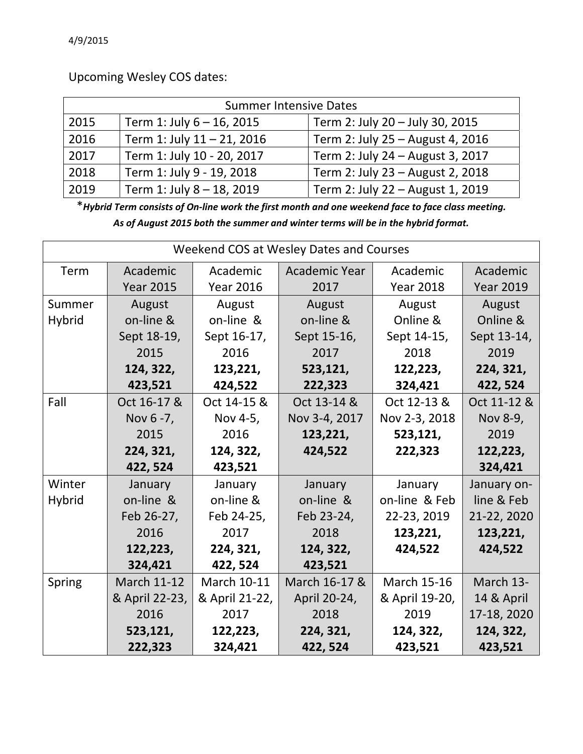Upcoming Wesley COS dates:

| <b>Summer Intensive Dates</b> |                            |                                  |  |  |  |
|-------------------------------|----------------------------|----------------------------------|--|--|--|
| 2015                          | Term 1: July 6 - 16, 2015  | Term 2: July 20 - July 30, 2015  |  |  |  |
| 2016                          | Term 1: July 11 - 21, 2016 | Term 2: July 25 - August 4, 2016 |  |  |  |
| 2017                          | Term 1: July 10 - 20, 2017 | Term 2: July 24 - August 3, 2017 |  |  |  |
| 2018                          | Term 1: July 9 - 19, 2018  | Term 2: July 23 - August 2, 2018 |  |  |  |
| 2019                          | Term 1: July 8 - 18, 2019  | Term 2: July 22 - August 1, 2019 |  |  |  |

\*Hybrid Term consists of On-line work the first month and one weekend face to face class meeting. *As of August 2015 both the summer and winter terms will be in the hybrid format.*

| Weekend COS at Wesley Dates and Courses |                    |                    |               |                    |                  |
|-----------------------------------------|--------------------|--------------------|---------------|--------------------|------------------|
| Term                                    | Academic           | Academic           | Academic Year | Academic           | Academic         |
|                                         | <b>Year 2015</b>   | <b>Year 2016</b>   | 2017          | <b>Year 2018</b>   | <b>Year 2019</b> |
| Summer                                  | August             | August             | August        | August             | August           |
| <b>Hybrid</b>                           | on-line &          | on-line &          | on-line &     | Online &           | Online &         |
|                                         | Sept 18-19,        | Sept 16-17,        | Sept 15-16,   | Sept 14-15,        | Sept 13-14,      |
|                                         | 2015               | 2016               | 2017          | 2018               | 2019             |
|                                         | 124, 322,          | 123,221,           | 523,121,      | 122,223,           | 224, 321,        |
|                                         | 423,521            | 424,522            | 222,323       | 324,421            | 422, 524         |
| Fall                                    | Oct 16-17 &        | Oct 14-15 &        | Oct 13-14 &   | Oct 12-13 &        | Oct 11-12 &      |
|                                         | Nov 6 - 7,         | Nov 4-5,           | Nov 3-4, 2017 | Nov 2-3, 2018      | Nov 8-9,         |
|                                         | 2015               | 2016               | 123,221,      | 523,121,           | 2019             |
|                                         | 224, 321,          | 124, 322,          | 424,522       | 222,323            | 122,223,         |
|                                         | 422, 524           | 423,521            |               |                    | 324,421          |
| Winter                                  | January            | January            | January       | January            | January on-      |
| <b>Hybrid</b>                           | on-line &          | on-line &          | on-line &     | on-line & Feb      | line & Feb       |
|                                         | Feb 26-27,         | Feb 24-25,         | Feb 23-24,    | 22-23, 2019        | 21-22, 2020      |
|                                         | 2016               | 2017               | 2018          | 123,221,           | 123,221,         |
|                                         | 122,223,           | 224, 321,          | 124, 322,     | 424,522            | 424,522          |
|                                         | 324,421            | 422, 524           | 423,521       |                    |                  |
| Spring                                  | <b>March 11-12</b> | <b>March 10-11</b> | March 16-17 & | <b>March 15-16</b> | March 13-        |
|                                         | & April 22-23,     | & April 21-22,     | April 20-24,  | & April 19-20,     | 14 & April       |
|                                         | 2016               | 2017               | 2018          | 2019               | 17-18, 2020      |
|                                         | 523,121,           | 122,223,           | 224, 321,     | 124, 322,          | 124, 322,        |
|                                         | 222,323            | 324,421            | 422, 524      | 423,521            | 423,521          |